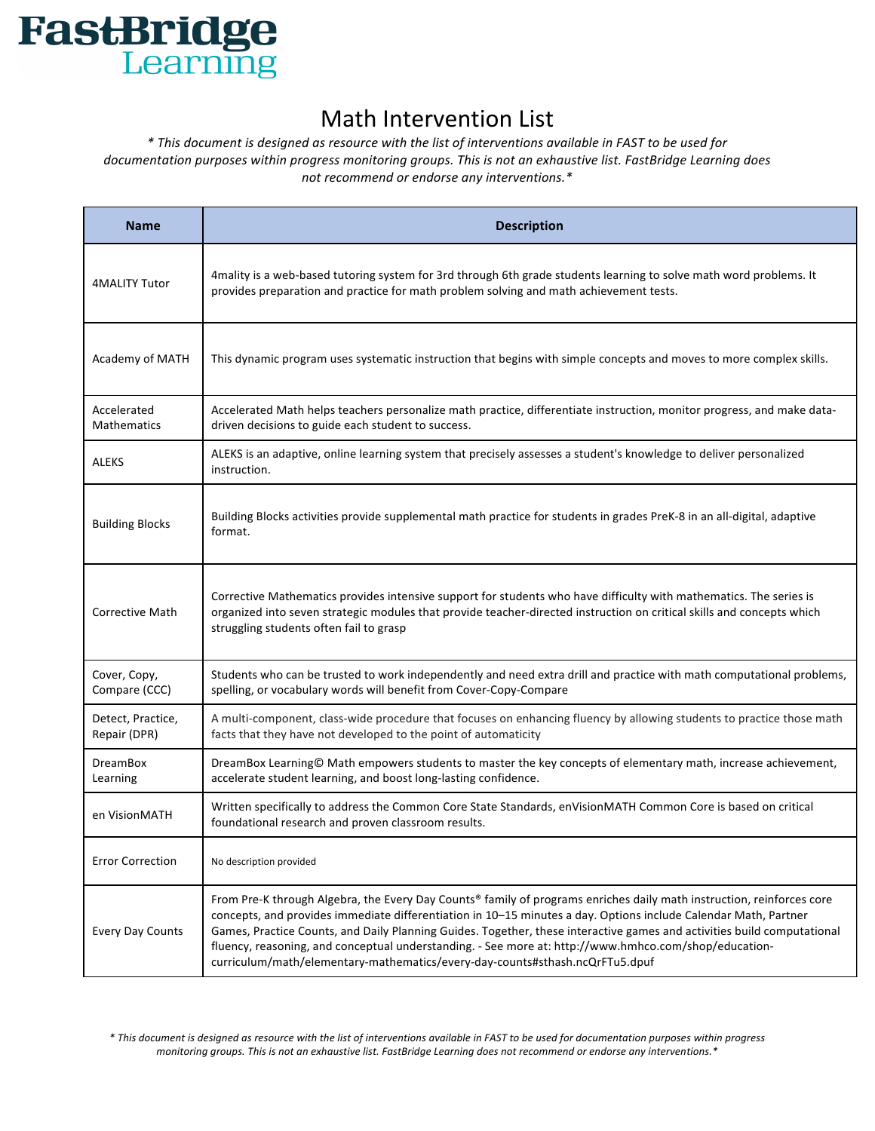

## **Math Intervention List**

*\* This document is designed as resource with the list of interventions available in FAST to be used for*  documentation purposes within progress monitoring groups. This is not an exhaustive list. FastBridge Learning does not recommend or endorse any interventions.\*

| <b>Name</b>                       | <b>Description</b>                                                                                                                                                                                                                                                                                                                                                                                                                                                                                                                                           |
|-----------------------------------|--------------------------------------------------------------------------------------------------------------------------------------------------------------------------------------------------------------------------------------------------------------------------------------------------------------------------------------------------------------------------------------------------------------------------------------------------------------------------------------------------------------------------------------------------------------|
| <b>4MALITY Tutor</b>              | 4mality is a web-based tutoring system for 3rd through 6th grade students learning to solve math word problems. It<br>provides preparation and practice for math problem solving and math achievement tests.                                                                                                                                                                                                                                                                                                                                                 |
| Academy of MATH                   | This dynamic program uses systematic instruction that begins with simple concepts and moves to more complex skills.                                                                                                                                                                                                                                                                                                                                                                                                                                          |
| Accelerated<br><b>Mathematics</b> | Accelerated Math helps teachers personalize math practice, differentiate instruction, monitor progress, and make data-<br>driven decisions to guide each student to success.                                                                                                                                                                                                                                                                                                                                                                                 |
| <b>ALEKS</b>                      | ALEKS is an adaptive, online learning system that precisely assesses a student's knowledge to deliver personalized<br>instruction.                                                                                                                                                                                                                                                                                                                                                                                                                           |
| <b>Building Blocks</b>            | Building Blocks activities provide supplemental math practice for students in grades PreK-8 in an all-digital, adaptive<br>format.                                                                                                                                                                                                                                                                                                                                                                                                                           |
| <b>Corrective Math</b>            | Corrective Mathematics provides intensive support for students who have difficulty with mathematics. The series is<br>organized into seven strategic modules that provide teacher-directed instruction on critical skills and concepts which<br>struggling students often fail to grasp                                                                                                                                                                                                                                                                      |
| Cover, Copy,<br>Compare (CCC)     | Students who can be trusted to work independently and need extra drill and practice with math computational problems,<br>spelling, or vocabulary words will benefit from Cover-Copy-Compare                                                                                                                                                                                                                                                                                                                                                                  |
| Detect, Practice,<br>Repair (DPR) | A multi-component, class-wide procedure that focuses on enhancing fluency by allowing students to practice those math<br>facts that they have not developed to the point of automaticity                                                                                                                                                                                                                                                                                                                                                                     |
| <b>DreamBox</b><br>Learning       | DreamBox Learning© Math empowers students to master the key concepts of elementary math, increase achievement,<br>accelerate student learning, and boost long-lasting confidence.                                                                                                                                                                                                                                                                                                                                                                            |
| en VisionMATH                     | Written specifically to address the Common Core State Standards, enVisionMATH Common Core is based on critical<br>foundational research and proven classroom results.                                                                                                                                                                                                                                                                                                                                                                                        |
| <b>Error Correction</b>           | No description provided                                                                                                                                                                                                                                                                                                                                                                                                                                                                                                                                      |
| <b>Every Day Counts</b>           | From Pre-K through Algebra, the Every Day Counts® family of programs enriches daily math instruction, reinforces core<br>concepts, and provides immediate differentiation in 10-15 minutes a day. Options include Calendar Math, Partner<br>Games, Practice Counts, and Daily Planning Guides. Together, these interactive games and activities build computational<br>fluency, reasoning, and conceptual understanding. - See more at: http://www.hmhco.com/shop/education-<br>curriculum/math/elementary-mathematics/every-day-counts#sthash.ncQrFTu5.dpuf |

\* This document is designed as resource with the list of interventions available in FAST to be used for documentation purposes within progress monitoring groups. This is not an exhaustive list. FastBridge Learning does not recommend or endorse any interventions.\*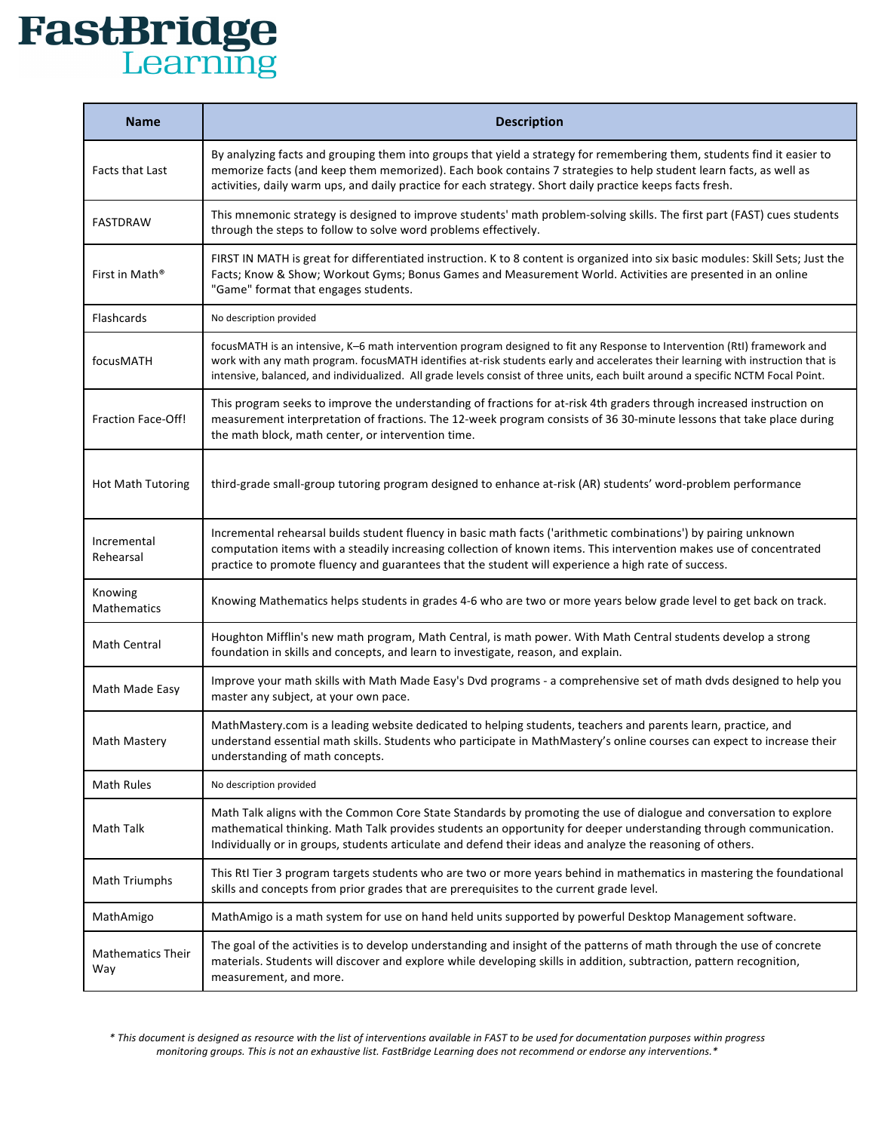## **FastBridge**

| <b>Name</b>                     | <b>Description</b>                                                                                                                                                                                                                                                                                                                                                                               |
|---------------------------------|--------------------------------------------------------------------------------------------------------------------------------------------------------------------------------------------------------------------------------------------------------------------------------------------------------------------------------------------------------------------------------------------------|
| Facts that Last                 | By analyzing facts and grouping them into groups that yield a strategy for remembering them, students find it easier to<br>memorize facts (and keep them memorized). Each book contains 7 strategies to help student learn facts, as well as<br>activities, daily warm ups, and daily practice for each strategy. Short daily practice keeps facts fresh.                                        |
| FASTDRAW                        | This mnemonic strategy is designed to improve students' math problem-solving skills. The first part (FAST) cues students<br>through the steps to follow to solve word problems effectively.                                                                                                                                                                                                      |
| First in Math <sup>®</sup>      | FIRST IN MATH is great for differentiated instruction. K to 8 content is organized into six basic modules: Skill Sets; Just the<br>Facts; Know & Show; Workout Gyms; Bonus Games and Measurement World. Activities are presented in an online<br>"Game" format that engages students.                                                                                                            |
| Flashcards                      | No description provided                                                                                                                                                                                                                                                                                                                                                                          |
| focusMATH                       | focusMATH is an intensive, K-6 math intervention program designed to fit any Response to Intervention (RtI) framework and<br>work with any math program. focusMATH identifies at-risk students early and accelerates their learning with instruction that is<br>intensive, balanced, and individualized. All grade levels consist of three units, each built around a specific NCTM Focal Point. |
| <b>Fraction Face-Off!</b>       | This program seeks to improve the understanding of fractions for at-risk 4th graders through increased instruction on<br>measurement interpretation of fractions. The 12-week program consists of 36 30-minute lessons that take place during<br>the math block, math center, or intervention time.                                                                                              |
| <b>Hot Math Tutoring</b>        | third-grade small-group tutoring program designed to enhance at-risk (AR) students' word-problem performance                                                                                                                                                                                                                                                                                     |
| Incremental<br>Rehearsal        | Incremental rehearsal builds student fluency in basic math facts ('arithmetic combinations') by pairing unknown<br>computation items with a steadily increasing collection of known items. This intervention makes use of concentrated<br>practice to promote fluency and guarantees that the student will experience a high rate of success.                                                    |
| Knowing<br>Mathematics          | Knowing Mathematics helps students in grades 4-6 who are two or more years below grade level to get back on track.                                                                                                                                                                                                                                                                               |
| Math Central                    | Houghton Mifflin's new math program, Math Central, is math power. With Math Central students develop a strong<br>foundation in skills and concepts, and learn to investigate, reason, and explain.                                                                                                                                                                                               |
| Math Made Easy                  | Improve your math skills with Math Made Easy's Dvd programs - a comprehensive set of math dvds designed to help you<br>master any subject, at your own pace.                                                                                                                                                                                                                                     |
| <b>Math Mastery</b>             | MathMastery.com is a leading website dedicated to helping students, teachers and parents learn, practice, and<br>understand essential math skills. Students who participate in MathMastery's online courses can expect to increase their<br>understanding of math concepts.                                                                                                                      |
| <b>Math Rules</b>               | No description provided                                                                                                                                                                                                                                                                                                                                                                          |
| Math Talk                       | Math Talk aligns with the Common Core State Standards by promoting the use of dialogue and conversation to explore<br>mathematical thinking. Math Talk provides students an opportunity for deeper understanding through communication.<br>Individually or in groups, students articulate and defend their ideas and analyze the reasoning of others.                                            |
| Math Triumphs                   | This RtI Tier 3 program targets students who are two or more years behind in mathematics in mastering the foundational<br>skills and concepts from prior grades that are prerequisites to the current grade level.                                                                                                                                                                               |
| MathAmigo                       | MathAmigo is a math system for use on hand held units supported by powerful Desktop Management software.                                                                                                                                                                                                                                                                                         |
| <b>Mathematics Their</b><br>Way | The goal of the activities is to develop understanding and insight of the patterns of math through the use of concrete<br>materials. Students will discover and explore while developing skills in addition, subtraction, pattern recognition,<br>measurement, and more.                                                                                                                         |

*\* This document is designed as resource with the list of interventions available in FAST to be used for documentation purposes within progress*  monitoring groups. This is not an exhaustive list. FastBridge Learning does not recommend or endorse any interventions.\*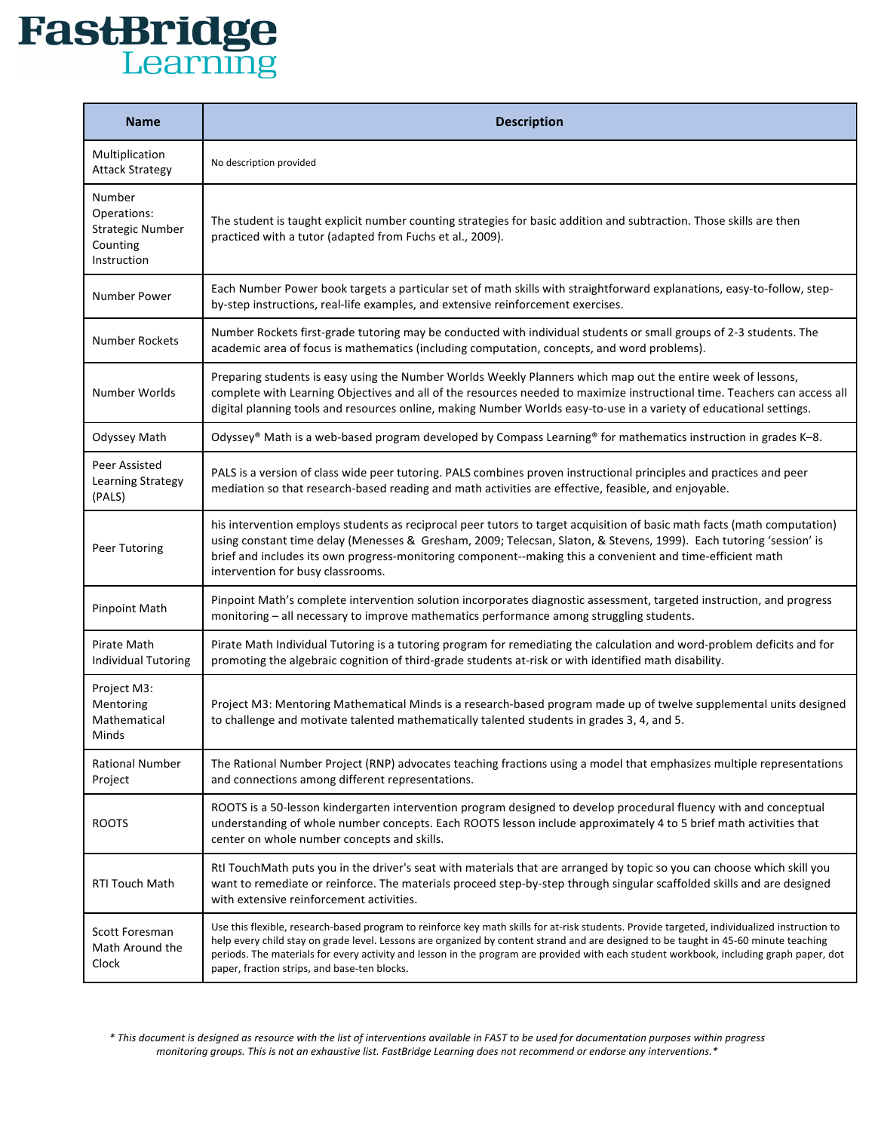## **FastBridge**

| <b>Name</b>                                                                 | <b>Description</b>                                                                                                                                                                                                                                                                                                                                                                                                                                                              |
|-----------------------------------------------------------------------------|---------------------------------------------------------------------------------------------------------------------------------------------------------------------------------------------------------------------------------------------------------------------------------------------------------------------------------------------------------------------------------------------------------------------------------------------------------------------------------|
| Multiplication<br><b>Attack Strategy</b>                                    | No description provided                                                                                                                                                                                                                                                                                                                                                                                                                                                         |
| Number<br>Operations:<br><b>Strategic Number</b><br>Counting<br>Instruction | The student is taught explicit number counting strategies for basic addition and subtraction. Those skills are then<br>practiced with a tutor (adapted from Fuchs et al., 2009).                                                                                                                                                                                                                                                                                                |
| Number Power                                                                | Each Number Power book targets a particular set of math skills with straightforward explanations, easy-to-follow, step-<br>by-step instructions, real-life examples, and extensive reinforcement exercises.                                                                                                                                                                                                                                                                     |
| <b>Number Rockets</b>                                                       | Number Rockets first-grade tutoring may be conducted with individual students or small groups of 2-3 students. The<br>academic area of focus is mathematics (including computation, concepts, and word problems).                                                                                                                                                                                                                                                               |
| Number Worlds                                                               | Preparing students is easy using the Number Worlds Weekly Planners which map out the entire week of lessons,<br>complete with Learning Objectives and all of the resources needed to maximize instructional time. Teachers can access all<br>digital planning tools and resources online, making Number Worlds easy-to-use in a variety of educational settings.                                                                                                                |
| Odyssey Math                                                                | Odyssey® Math is a web-based program developed by Compass Learning® for mathematics instruction in grades K-8.                                                                                                                                                                                                                                                                                                                                                                  |
| Peer Assisted<br>Learning Strategy<br>(PALS)                                | PALS is a version of class wide peer tutoring. PALS combines proven instructional principles and practices and peer<br>mediation so that research-based reading and math activities are effective, feasible, and enjoyable.                                                                                                                                                                                                                                                     |
| Peer Tutoring                                                               | his intervention employs students as reciprocal peer tutors to target acquisition of basic math facts (math computation)<br>using constant time delay (Menesses & Gresham, 2009; Telecsan, Slaton, & Stevens, 1999). Each tutoring 'session' is<br>brief and includes its own progress-monitoring component--making this a convenient and time-efficient math<br>intervention for busy classrooms.                                                                              |
| <b>Pinpoint Math</b>                                                        | Pinpoint Math's complete intervention solution incorporates diagnostic assessment, targeted instruction, and progress<br>monitoring - all necessary to improve mathematics performance among struggling students.                                                                                                                                                                                                                                                               |
| Pirate Math<br>Individual Tutoring                                          | Pirate Math Individual Tutoring is a tutoring program for remediating the calculation and word-problem deficits and for<br>promoting the algebraic cognition of third-grade students at-risk or with identified math disability.                                                                                                                                                                                                                                                |
| Project M3:<br>Mentoring<br>Mathematical<br>Minds                           | Project M3: Mentoring Mathematical Minds is a research-based program made up of twelve supplemental units designed<br>to challenge and motivate talented mathematically talented students in grades 3, 4, and 5.                                                                                                                                                                                                                                                                |
| <b>Rational Number</b><br>Project                                           | The Rational Number Project (RNP) advocates teaching fractions using a model that emphasizes multiple representations<br>and connections among different representations.                                                                                                                                                                                                                                                                                                       |
| <b>ROOTS</b>                                                                | ROOTS is a 50-lesson kindergarten intervention program designed to develop procedural fluency with and conceptual<br>understanding of whole number concepts. Each ROOTS lesson include approximately 4 to 5 brief math activities that<br>center on whole number concepts and skills.                                                                                                                                                                                           |
| RTI Touch Math                                                              | RtI TouchMath puts you in the driver's seat with materials that are arranged by topic so you can choose which skill you<br>want to remediate or reinforce. The materials proceed step-by-step through singular scaffolded skills and are designed<br>with extensive reinforcement activities.                                                                                                                                                                                   |
| Scott Foresman<br>Math Around the<br>Clock                                  | Use this flexible, research-based program to reinforce key math skills for at-risk students. Provide targeted, individualized instruction to<br>help every child stay on grade level. Lessons are organized by content strand and are designed to be taught in 45-60 minute teaching<br>periods. The materials for every activity and lesson in the program are provided with each student workbook, including graph paper, dot<br>paper, fraction strips, and base-ten blocks. |

*\* This document is designed as resource with the list of interventions available in FAST to be used for documentation purposes within progress*  monitoring groups. This is not an exhaustive list. FastBridge Learning does not recommend or endorse any interventions.\*